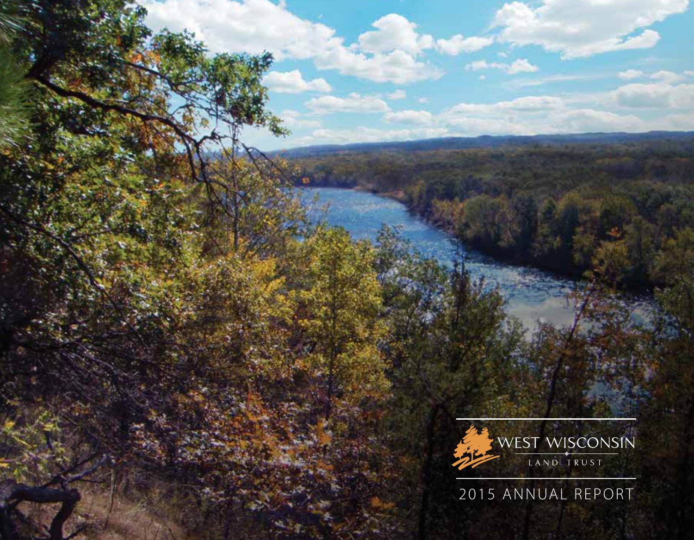

2015 ANNUAL REPORT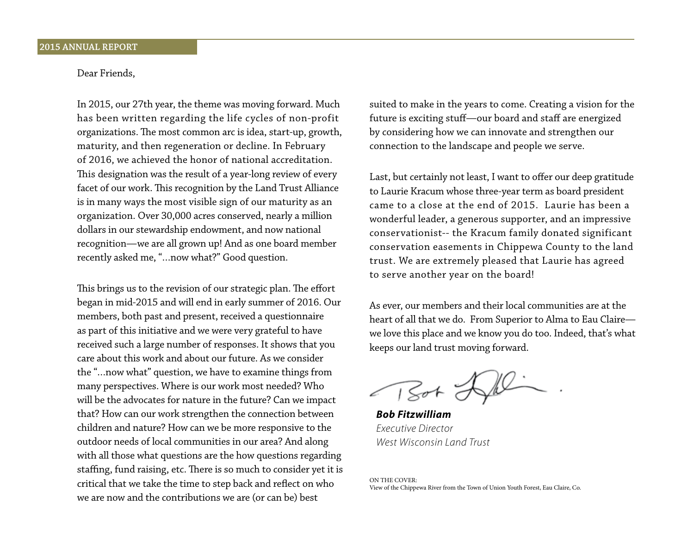# Dear Friends,

In 2015, our 27th year, the theme was moving forward. Much has been written regarding the life cycles of non-profit organizations. The most common arc is idea, start-up, growth, maturity, and then regeneration or decline. In February of 2016, we achieved the honor of national accreditation. This designation was the result of a year-long review of every facet of our work. This recognition by the Land Trust Alliance is in many ways the most visible sign of our maturity as an organization. Over 30,000 acres conserved, nearly a million dollars in our stewardship endowment, and now national recognition—we are all grown up! And as one board member recently asked me, "…now what?" Good question.

This brings us to the revision of our strategic plan. The effort began in mid-2015 and will end in early summer of 2016. Our members, both past and present, received a questionnaire as part of this initiative and we were very grateful to have received such a large number of responses. It shows that you care about this work and about our future. As we consider the "…now what" question, we have to examine things from many perspectives. Where is our work most needed? Who will be the advocates for nature in the future? Can we impact that? How can our work strengthen the connection between children and nature? How can we be more responsive to the outdoor needs of local communities in our area? And along with all those what questions are the how questions regarding staffing, fund raising, etc. There is so much to consider yet it is critical that we take the time to step back and reflect on who we are now and the contributions we are (or can be) best

suited to make in the years to come. Creating a vision for the future is exciting stuff—our board and staff are energized by considering how we can innovate and strengthen our connection to the landscape and people we serve.

Last, but certainly not least, I want to offer our deep gratitude to Laurie Kracum whose three-year term as board president came to a close at the end of 2015. Laurie has been a wonderful leader, a generous supporter, and an impressive conservationist-- the Kracum family donated significant conservation easements in Chippewa County to the land trust. We are extremely pleased that Laurie has agreed to serve another year on the board!

As ever, our members and their local communities are at the heart of all that we do. From Superior to Alma to Eau Claire we love this place and we know you do too. Indeed, that's what keeps our land trust moving forward.

 $\sim$  1 Sot  $\sim$ 

*Bob Fitzwilliam Executive Director West Wisconsin Land Trust*

ON THE COVER: View of the Chippewa River from the Town of Union Youth Forest, Eau Claire, Co.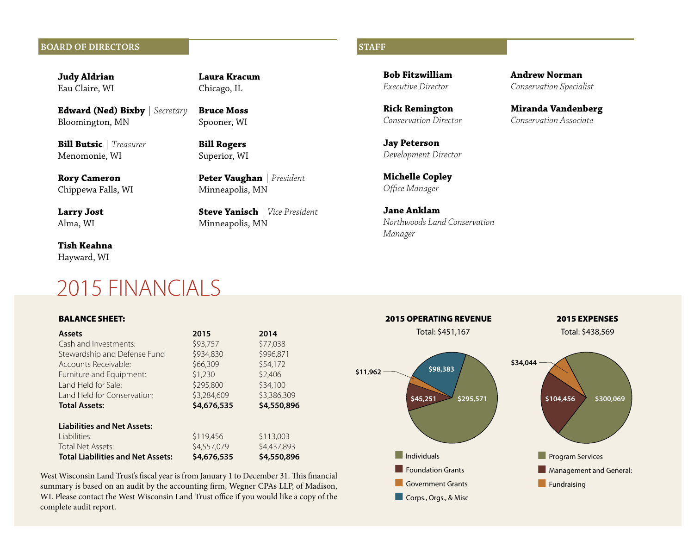# **BOARD OF DIRECTORS** STAFF

**Judy Aldrian**  Eau Claire, WI

**Edward (Ned) Bixby** *| Secretary* Bloomington, MN

**Bill Butsic** *| Treasurer* Menomonie, WI

**Rory Cameron** Chippewa Falls, WI

**Larry Jost** Alma, WI

**Tish Keahna** Hayward, WI

# 2015 FINANCIALS

# BALANCE SHEET:

| <b>Assets</b>                            | 2015        | 2014        | Total: 9    |
|------------------------------------------|-------------|-------------|-------------|
| Cash and Investments:                    | \$93,757    | \$77,038    |             |
| Stewardship and Defense Fund             | \$934,830   | \$996,871   |             |
| Accounts Receivable:                     | \$66,309    | \$54,172    | \$98        |
| Furniture and Equipment:                 | \$1,230     | \$2,406     | \$11,962    |
| Land Held for Sale:                      | \$295,800   | \$34,100    |             |
| Land Held for Conservation:              | \$3,284,609 | \$3,386,309 | \$45,251    |
| <b>Total Assets:</b>                     | \$4,676,535 | \$4,550,896 |             |
| <b>Liabilities and Net Assets:</b>       |             |             |             |
| Liabilities:                             | \$119,456   | \$113,003   |             |
| Total Net Assets:                        | \$4,557,079 | \$4,437,893 |             |
| <b>Total Liabilities and Net Assets:</b> | \$4,676,535 | \$4,550,896 | Individuals |

**Laura Kracum** Chicago, IL

**Bruce Moss** Spooner, WI

**Bill Rogers** Superior, WI

Minneapolis, MN

Minneapolis, MN

**Peter Vaughan** *| President*

**Steve Yanisch** *| Vice President*

West Wisconsin Land Trust's fiscal year is from January 1 to December 31. This financial summary is based on an audit by the accounting firm, Wegner CPAs LLP, of Madison, WI. Please contact the West Wisconsin Land Trust office if you would like a copy of the complete audit report.

**Bob Fitzwilliam** *Executive Director*

**Rick Remington** *Conservation Director*

**Jay Peterson** *Development Director*

**Michelle Copley** *Office Manager*

**Jane Anklam** *Northwoods Land Conservation Manager*

**Andrew Norman**  *Conservation Specialist*

**Miranda Vandenberg**  *Conservation Associate*

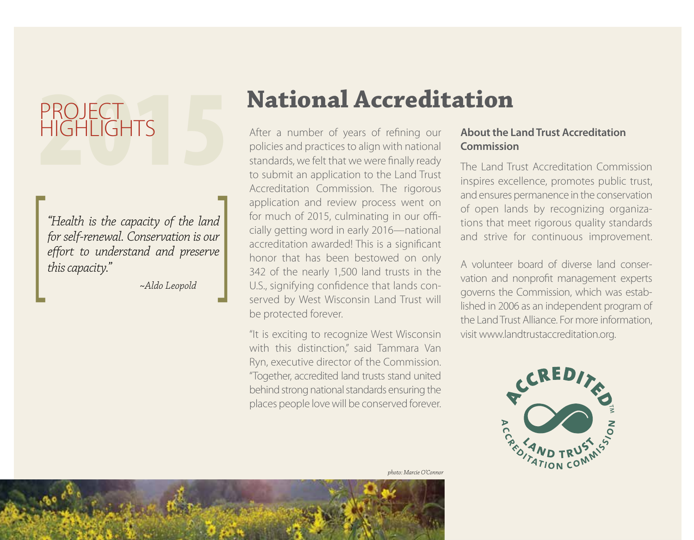# PROJECT<br>HIGHLIGHTS **HIGHLIGHTS**

"Health is the capacity of the land<br>for self-renewal. Conservation is our<br>effort to understand and preserve<br>this capacity."<br>Aldo Leopold *for self-renewal. Conservation is our effort to understand and preserve this capacity."*

 *~Aldo Leopold*

# **National Accreditation**

After a number of years of refining our policies and practices to align with national standards, we felt that we were finally ready to submit an application to the Land Trust Accreditation Commission. The rigorous application and review process went on for much of 2015, culminating in our officially getting word in early 2016—national accreditation awarded! This is a significant honor that has been bestowed on only 342 of the nearly 1,500 land trusts in the U.S., signifying confidence that lands conserved by West Wisconsin Land Trust will be protected forever.

"It is exciting to recognize West Wisconsin with this distinction," said Tammara Van Ryn, executive director of the Commission. "Together, accredited land trusts stand united behind strong national standards ensuring the places people love will be conserved forever.

# **About the Land Trust Accreditation Commission**

The Land Trust Accreditation Commission inspires excellence, promotes public trust, and ensures permanence in the conservation of open lands by recognizing organizations that meet rigorous quality standards and strive for continuous improvement.

A volunteer board of diverse land conservation and nonprofit management experts governs the Commission, which was established in 2006 as an independent program of the Land Trust Alliance. For more information, visit www.landtrustaccreditation.org.



*photo: Marcie O'Connor*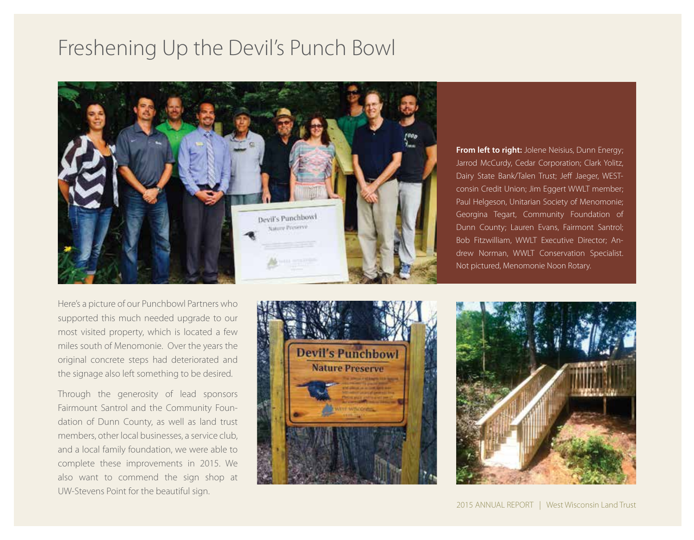# Freshening Up the Devil's Punch Bowl



**From left to right:** Jolene Neisius, Dunn Energy; Jarrod McCurdy, Cedar Corporation; Clark Yolitz, Dairy State Bank/Talen Trust; Jeff Jaeger, WESTconsin Credit Union; Jim Eggert WWLT member; Paul Helgeson, Unitarian Society of Menomonie; Georgina Tegart, Community Foundation of Dunn County; Lauren Evans, Fairmont Santrol; Bob Fitzwilliam, WWLT Executive Director; Andrew Norman, WWLT Conservation Specialist. Not pictured, Menomonie Noon Rotary.

Here's a picture of our Punchbowl Partners who supported this much needed upgrade to our most visited property, which is located a few miles south of Menomonie. Over the years the original concrete steps had deteriorated and the signage also left something to be desired.

Through the generosity of lead sponsors Fairmount Santrol and the Community Foundation of Dunn County, as well as land trust members, other local businesses, a service club, and a local family foundation, we were able to complete these improvements in 2015. We also want to commend the sign shop at UW-Stevens Point for the beautiful sign.



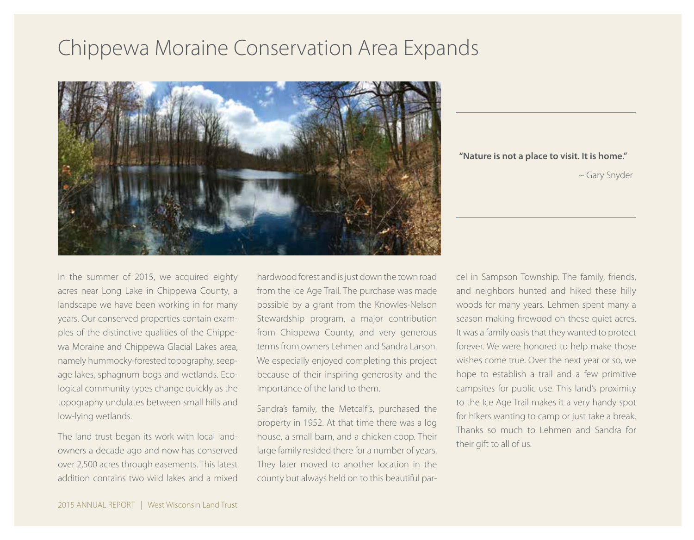# Chippewa Moraine Conservation Area Expands



**"Nature is not a place to visit. It is home."**

~ Gary Snyder

In the summer of 2015, we acquired eighty acres near Long Lake in Chippewa County, a landscape we have been working in for many years. Our conserved properties contain examples of the distinctive qualities of the Chippewa Moraine and Chippewa Glacial Lakes area, namely hummocky-forested topography, seepage lakes, sphagnum bogs and wetlands. Ecological community types change quickly as the topography undulates between small hills and low-lying wetlands.

The land trust began its work with local landowners a decade ago and now has conserved over 2,500 acres through easements. This latest addition contains two wild lakes and a mixed hardwood forest and is just down the town road from the Ice Age Trail. The purchase was made possible by a grant from the Knowles-Nelson Stewardship program, a major contribution from Chippewa County, and very generous terms from owners Lehmen and Sandra Larson. We especially enjoyed completing this project because of their inspiring generosity and the importance of the land to them.

Sandra's family, the Metcalf's, purchased the property in 1952. At that time there was a log house, a small barn, and a chicken coop. Their large family resided there for a number of years. They later moved to another location in the county but always held on to this beautiful parcel in Sampson Township. The family, friends, and neighbors hunted and hiked these hilly woods for many years. Lehmen spent many a season making firewood on these quiet acres. It was a family oasis that they wanted to protect forever. We were honored to help make those wishes come true. Over the next year or so, we hope to establish a trail and a few primitive campsites for public use. This land's proximity to the Ice Age Trail makes it a very handy spot for hikers wanting to camp or just take a break. Thanks so much to Lehmen and Sandra for their gift to all of us.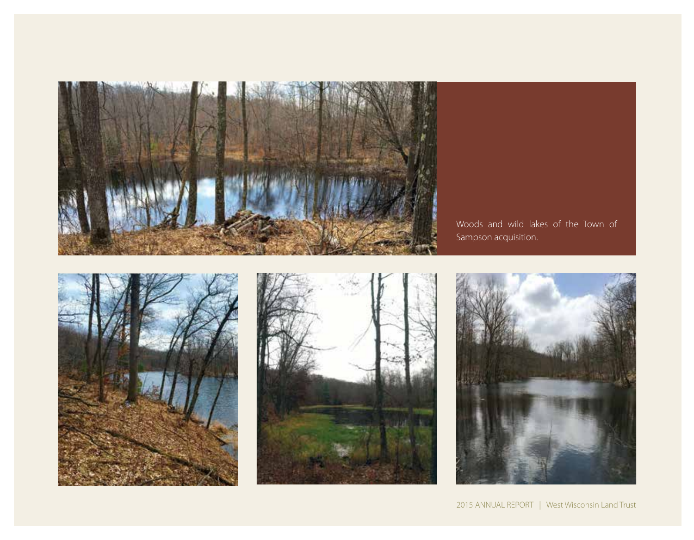

Woods and wild lakes of the Town of Sampson acquisition.





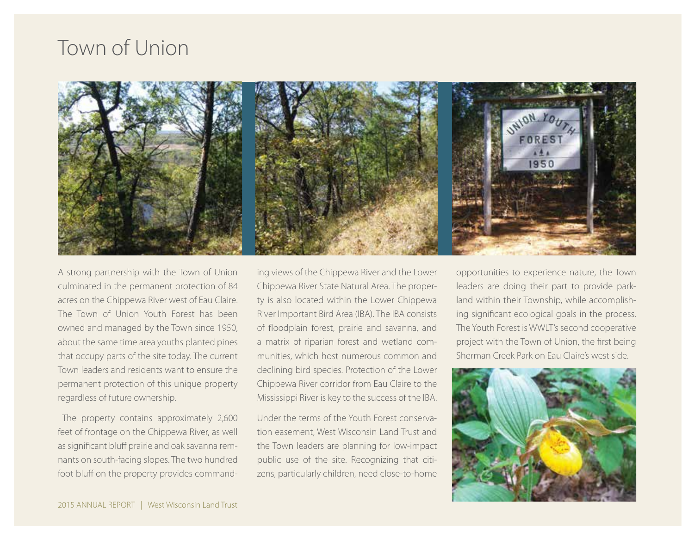# Town of Union



A strong partnership with the Town of Union culminated in the permanent protection of 84 acres on the Chippewa River west of Eau Claire. The Town of Union Youth Forest has been owned and managed by the Town since 1950, about the same time area youths planted pines that occupy parts of the site today. The current Town leaders and residents want to ensure the permanent protection of this unique property regardless of future ownership.

 The property contains approximately 2,600 feet of frontage on the Chippewa River, as well as significant bluff prairie and oak savanna remnants on south-facing slopes. The two hundred foot bluff on the property provides commanding views of the Chippewa River and the Lower Chippewa River State Natural Area. The property is also located within the Lower Chippewa River Important Bird Area (IBA). The IBA consists of floodplain forest, prairie and savanna, and a matrix of riparian forest and wetland communities, which host numerous common and declining bird species. Protection of the Lower Chippewa River corridor from Eau Claire to the Mississippi River is key to the success of the IBA.

Under the terms of the Youth Forest conservation easement, West Wisconsin Land Trust and the Town leaders are planning for low-impact public use of the site. Recognizing that citizens, particularly children, need close-to-home opportunities to experience nature, the Town leaders are doing their part to provide parkland within their Township, while accomplishing significant ecological goals in the process. The Youth Forest is WWLT's second cooperative project with the Town of Union, the first being Sherman Creek Park on Eau Claire's west side.

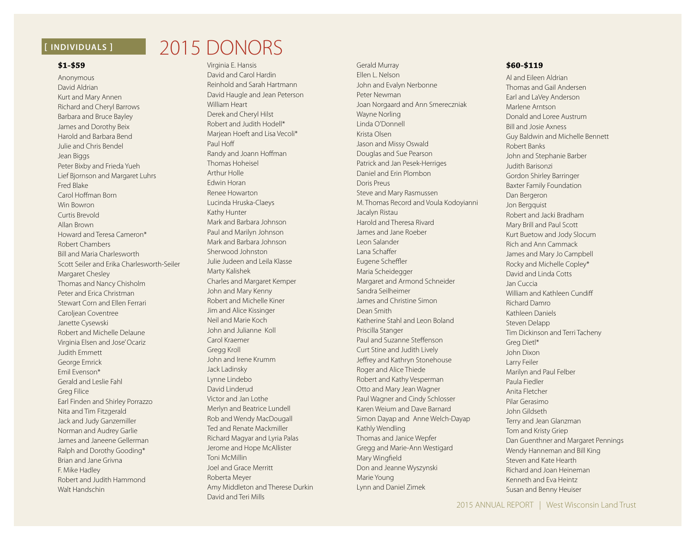## **\$1-\$59**

Anonymous David Aldrian Kurt and Mary Annen Richard and Cheryl Barrows Barbara and Bruce Bayley James and Dorothy Beix Harold and Barbara Bend Julie and Chris Bendel Jean Biggs Peter Bixby and Frieda Yueh Lief Bjornson and Margaret Luhrs Fred Blake Carol Hoffman Born Win Bowron Curtis Brevold Allan Brown Howard and Teresa Cameron\* Robert Chambers Bill and Maria Charlesworth Scott Seiler and Erika Charlesworth-Seiler Margaret Chesley Thomas and Nancy Chisholm Peter and Erica Christman Stewart Corn and Ellen Ferrari Caroliean Coventree Janette Cysewski Robert and Michelle Delaune Virginia Elsen and Jose' Ocariz Judith Emmett George Emrick Emil Evenson\* Gerald and Leslie Fahl Greg Filice Earl Finden and Shirley Porrazzo Nita and Tim Fitzgerald Jack and Judy Ganzemiller Norman and Audrey Garlie James and Janeene Gellerman Ralph and Dorothy Gooding\* Brian and Jane Grivna F. Mike Hadley Robert and Judith Hammond Walt Handschin

# **[ INDIVIDUALS ]** 2015 DONORS

Virginia E. Hansis David and Carol Hardin Reinhold and Sarah Hartmann David Haugle and Jean Peterson William Heart Derek and Cheryl Hilst Robert and Judith Hodell\* Marjean Hoeft and Lisa Vecoli\* Paul Hoff Randy and Joann Hoffman Thomas Hoheisel Arthur Holle Edwin Horan Renee Howarton Lucinda Hruska-Claeys Kathy Hunter Mark and Barbara Johnson Paul and Marilyn Johnson Mark and Barbara Johnson Sherwood Johnston Julie Judeen and Leila Klasse Marty Kalishek Charles and Margaret Kemper John and Mary Kenny Robert and Michelle Kiner Jim and Alice Kissinger Neil and Marie Koch John and Julianne Koll Carol Kraemer Gregg Kroll John and Irene Krumm Jack Ladinsky Lynne Lindebo David Linderud Victor and Jan Lothe Merlyn and Beatrice Lundell Rob and Wendy MacDougall Ted and Renate Mackmiller Richard Magyar and Lyria Palas Jerome and Hope McAllister Toni McMillin Joel and Grace Merritt Roberta Meyer Amy Middleton and Therese Durkin David and Teri Mills

Gerald Murray Ellen L. Nelson John and Evalyn Nerbonne Peter Newman Joan Norgaard and Ann Smereczniak Wayne Norling Linda O'Donnell Krista Olsen Jason and Missy Oswald Douglas and Sue Pearson Patrick and Jan Pesek-Herriges Daniel and Erin Plombon Doris Preus Steve and Mary Rasmussen M. Thomas Record and Voula Kodoyianni Jacalyn Ristau Harold and Theresa Rivard James and Jane Roeber Leon Salander Lana Schaffer Eugene Scheffler Maria Scheidegger Margaret and Armond Schneider Sandra Seilheimer James and Christine Simon Dean Smith Katherine Stahl and Leon Boland Priscilla Stanger Paul and Suzanne Steffenson Curt Stine and Judith Lively Jeffrey and Kathryn Stonehouse Roger and Alice Thiede Robert and Kathy Vesperman Otto and Mary Jean Wagner Paul Wagner and Cindy Schlosser Karen Weium and Dave Barnard Simon Dayap and Anne Welch-Dayap Kathly Wendling Thomas and Janice Wepfer Gregg and Marie-Ann Westigard Mary Wingfield Don and Jeanne Wyszynski Marie Young Lynn and Daniel Zimek

# **\$60-\$119**

Al and Eileen Aldrian Thomas and Gail Andersen Earl and LaVey Anderson Marlene Arntson Donald and Loree Austrum Bill and Josie Axness Guy Baldwin and Michelle Bennett Robert Banks John and Stephanie Barber Judith Barisonzi Gordon Shirley Barringer Baxter Family Foundation Dan Bergeron Jon Bergquist Robert and Jacki Bradham Mary Brill and Paul Scott Kurt Buetow and Jody Slocum Rich and Ann Cammack James and Mary Jo Campbell Rocky and Michelle Copley\* David and Linda Cotts Jan Cuccia William and Kathleen Cundiff Richard Damro Kathleen Daniels Steven Delapp Tim Dickinson and Terri Tacheny Greg Dietl\* John Dixon Larry Feiler Marilyn and Paul Felber Paula Fiedler Anita Fletcher Pilar Gerasimo John Gildseth Terry and Jean Glanzman Tom and Kristy Griep Dan Guenthner and Margaret Pennings Wendy Hanneman and Bill King Steven and Kate Hearth Richard and Joan Heineman Kenneth and Eva Heintz Susan and Benny Heuiser

2015 ANNUAL REPORT | West Wisconsin Land Trust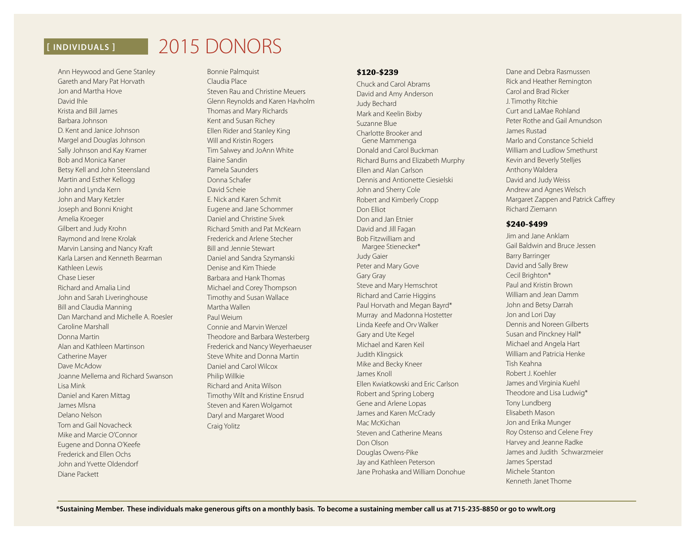# **[ INDIVIDUALS ]** 2015 DONORS

Ann Heywood and Gene Stanley Gareth and Mary Pat Horvath Jon and Martha Hove David Ihle Krista and Bill James Barbara Johnson D. Kent and Janice Johnson Margel and Douglas Johnson Sally Johnson and Kay Kramer Bob and Monica Kaner Betsy Kell and John Steensland Martin and Esther Kellogg John and Lynda Kern John and Mary Ketzler Joseph and Bonni Knight Amelia Kroeger Gilbert and Judy Krohn Raymond and Irene Krolak Marvin Lansing and Nancy Kraft Karla Larsen and Kenneth Bearman Kathleen Lewis Chase Lieser Richard and Amalia Lind John and Sarah Liveringhouse Bill and Claudia Manning Dan Marchand and Michelle A. Roesler Caroline Marshall Donna Martin Alan and Kathleen Martinson Catherine Mayer Dave McAdow Joanne Mellema and Richard Swanson Lisa Mink Daniel and Karen Mittag James Mlsna Delano Nelson Tom and Gail Novacheck Mike and Marcie O'Connor Eugene and Donna O'Keefe Frederick and Ellen Ochs John and Yvette Oldendorf Diane Packett

Bonnie Palmquist Claudia Place Steven Rau and Christine Meuers Glenn Reynolds and Karen Havholm Thomas and Mary Richards Kent and Susan Richey Ellen Rider and Stanley King Will and Kristin Rogers Tim Salwey and JoAnn White Elaine Sandin Pamela Saunders Donna Schafer David Scheie E. Nick and Karen Schmit Eugene and Jane Schommer Daniel and Christine Sivek Richard Smith and Pat McKearn Frederick and Arlene Stecher Bill and Jennie Stewart Daniel and Sandra Szymanski Denise and Kim Thiede Barbara and Hank Thomas Michael and Corey Thompson Timothy and Susan Wallace Martha Wallen Paul Weium Connie and Marvin Wenzel Theodore and Barbara Westerberg Frederick and Nancy Weyerhaeuser Steve White and Donna Martin Daniel and Carol Wilcox Philip Willkie Richard and Anita Wilson Timothy Wilt and Kristine Ensrud Steven and Karen Wolgamot Daryl and Margaret Wood Craig Yolitz

#### **\$120-\$239**

Chuck and Carol Abrams David and Amy Anderson Judy Bechard Mark and Keelin Bixby Suzanne Blue Charlotte Brooker and Gene Mammenga Donald and Carol Buckman Richard Burns and Elizabeth Murphy Ellen and Alan Carlson Dennis and Antionette Ciesielski John and Sherry Cole Robert and Kimberly Cropp Don Elliot Don and Jan Etnier David and Jill Fagan Bob Fitzwilliam and Margee Stienecker\* Judy Gaier Peter and Mary Gove Gary Gray Steve and Mary Hemschrot Richard and Carrie Higgins Paul Horvath and Megan Bayrd\* Murray and Madonna Hostetter Linda Keefe and Orv Walker Gary and Ute Kegel Michael and Karen Keil Judith Klingsick Mike and Becky Kneer James Knoll Ellen Kwiatkowski and Eric Carlson Robert and Spring Loberg Gene and Arlene Lopas James and Karen McCrady Mac McKichan Steven and Catherine Means Don Olson Douglas Owens-Pike Jay and Kathleen Peterson Jane Prohaska and William Donohue

Dane and Debra Rasmussen Rick and Heather Remington Carol and Brad Ricker J. Timothy Ritchie Curt and LaMae Rohland Peter Rothe and Gail Amundson James Rustad Marlo and Constance Schield William and Ludlow Smethurst Kevin and Beverly Stelljes Anthony Waldera David and Judy Weiss Andrew and Agnes Welsch Margaret Zappen and Patrick Caffrey Richard Ziemann

### **\$240-\$499**

Jim and Jane Anklam Gail Baldwin and Bruce Jessen Barry Barringer David and Sally Brew Cecil Brighton\* Paul and Kristin Brown William and Jean Damm John and Betsy Darrah Jon and Lori Day Dennis and Noreen Gilberts Susan and Pinckney Hall\* Michael and Angela Hart William and Patricia Henke Tish Keahna Robert J. Koehler James and Virginia Kuehl Theodore and Lisa Ludwig\* Tony Lundberg Elisabeth Mason Jon and Erika Munger Roy Ostenso and Celene Frey Harvey and Jeanne Radke James and Judith Schwarzmeier James Sperstad Michele Stanton Kenneth Janet Thome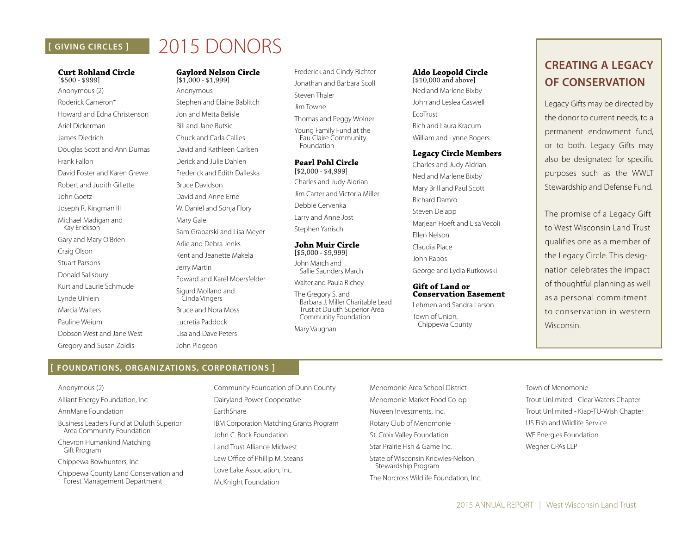# **[ GIVING CIRCLES ]**

# 2015 DONORS

# **Curt Rohland Circle**

[\$500 - \$999] Anonymous (2) Roderick Cameron\* Howard and Edna Christenson Ariel Dickerman James Diedrich Douglas Scott and Ann Dumas Frank Fallon David Foster and Karen Grewe Robert and Judith Gillette John Goetz Joseph R. Kingman III Michael Madigan and Kay Erickson Gary and Mary O'Brien Craig Olson Stuart Parsons Donald Salisbury Kurt and Laurie Schmude Lynde Uihlein Marcia Walters Pauline Weium Dobson West and Jane West Gregory and Susan Zoidis

#### **Gaylord Nelson Circle**  [\$1,000 - \$1,999]

Anonymous Stephen and Elaine Bablitch Jon and Metta Belisle Bill and Jane Butsic Chuck and Carla Callies David and Kathleen Carlsen Derick and Julie Dahlen Frederick and Edith Dalleska Bruce Davidson David and Anne Erne W. Daniel and Sonja Flory Mary Gale Sam Grabarski and Lisa Meyer Arlie and Debra Jenks Kent and Jeanette Makela Jerry Martin Edward and Karel Moersfelder Sigurd Molland and Cinda Vingers Bruce and Nora Moss Lucretia Paddock Lisa and Dave Peters

- Frederick and Cindy Richter Jonathan and Barbara Scoll Steven Thaler Jim Towne
- Thomas and Peggy Wolner

Young Family Fund at the Eau Claire Community Foundation

#### **Pearl Pohl Circle** [\$2,000 - \$4,999]

Charles and Judy Aldrian

Jim Carter and Victoria Miller

Debbie Cervenka

Larry and Anne Jost

Stephen Yanisch

#### **John Muir Circle**  [\$5,000 - \$9,999]

John March and Sallie Saunders March

Walter and Paula Richey

The Gregory S. and Barbara J. Miller Charitable Lead Trust at Duluth Superior Area Community Foundation

Mary Vaughan

## **Aldo Leopold Circle**

[\$10,000 and above] Ned and Marlene Bixby John and Leslea Caswell EcoTrust Rich and Laura Kracum William and Lynne Rogers

### **Legacy Circle Members**

Charles and Judy Aldrian Ned and Marlene Bixby Mary Brill and Paul Scott Richard Damro Steven Delapp Marjean Hoeft and Lisa Vecoli Ellen Nelson Claudia Place John Rapos George and Lydia Rutkowski

#### **Gift of Land or Conservation Easement**

Lehmen and Sandra Larson Town of Union, Chippewa County

# **CREATING A LEGACY OF CONSERVATION**

Legacy Gifts may be directed by the donor to current needs, to a permanent endowment fund, or to both. Legacy Gifts may also be designated for specific purposes such as the WWLT Stewardship and Defense Fund.

The promise of a Legacy Gift to West Wisconsin Land Trust qualifies one as a member of the Legacy Circle. This designation celebrates the impact of thoughtful planning as well as a personal commitment to conservation in western Wisconsin.

# **[ FOUNDATIONS, ORGANIZATIONS, CORPORATIONS ]**

John Pidgeon

Anonymous (2)

Alliant Energy Foundation, Inc. AnnMarie Foundation

Business Leaders Fund at Duluth Superior Area Community Foundation

Chevron Humankind Matching Gift Program

Chippewa Bowhunters, Inc.

Chippewa County Land Conservation and Forest Management Department

Community Foundation of Dunn County Dairyland Power Cooperative EarthShare IBM Corporation Matching Grants Program John C. Bock Foundation Land Trust Alliance Midwest Law Office of Phillip M. Steans Love Lake Association, Inc. McKnight Foundation

Menomonie Area School District Menomonie Market Food Co-op Nuveen Investments, Inc. Rotary Club of Menomonie St. Croix Valley Foundation Star Prairie Fish & Game Inc. State of Wisconsin Knowles-Nelson Stewardship Program

The Norcross Wildlife Foundation, Inc.

Town of Menomonie Trout Unlimited - Clear Waters Chapter Trout Unlimited - Kiap-TU-Wish Chapter US Fish and Wildlife Service WE Energies Foundation Wegner CPAs LLP